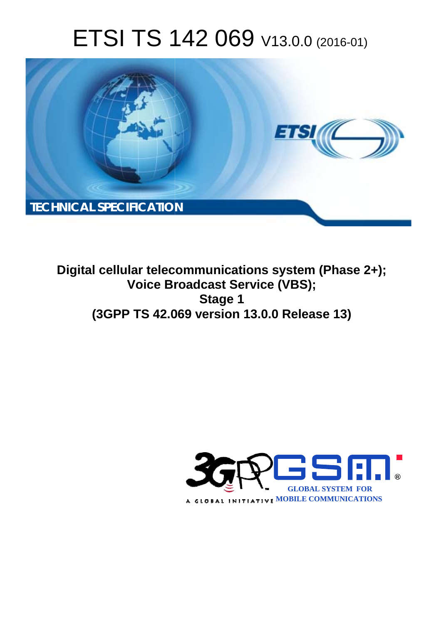# ETSI TS 142 069 V13.0.0 (2016-01)



#### **Digital cellular telecommunications system (Phase 2+); Voice Br Broadcast Service (VBS); (3GPP TS 42.0 .069 version 13.0.0 Release 13 13) Stage 1**

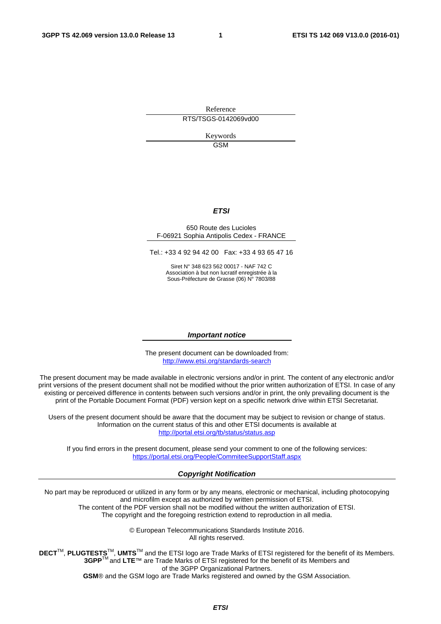Reference RTS/TSGS-0142069vd00

> Keywords **GSM**

#### *ETSI*

#### 650 Route des Lucioles F-06921 Sophia Antipolis Cedex - FRANCE

Tel.: +33 4 92 94 42 00 Fax: +33 4 93 65 47 16

Siret N° 348 623 562 00017 - NAF 742 C Association à but non lucratif enregistrée à la Sous-Préfecture de Grasse (06) N° 7803/88

#### *Important notice*

The present document can be downloaded from: <http://www.etsi.org/standards-search>

The present document may be made available in electronic versions and/or in print. The content of any electronic and/or print versions of the present document shall not be modified without the prior written authorization of ETSI. In case of any existing or perceived difference in contents between such versions and/or in print, the only prevailing document is the print of the Portable Document Format (PDF) version kept on a specific network drive within ETSI Secretariat.

Users of the present document should be aware that the document may be subject to revision or change of status. Information on the current status of this and other ETSI documents is available at <http://portal.etsi.org/tb/status/status.asp>

If you find errors in the present document, please send your comment to one of the following services: <https://portal.etsi.org/People/CommiteeSupportStaff.aspx>

#### *Copyright Notification*

No part may be reproduced or utilized in any form or by any means, electronic or mechanical, including photocopying and microfilm except as authorized by written permission of ETSI.

The content of the PDF version shall not be modified without the written authorization of ETSI. The copyright and the foregoing restriction extend to reproduction in all media.

> © European Telecommunications Standards Institute 2016. All rights reserved.

**DECT**TM, **PLUGTESTS**TM, **UMTS**TM and the ETSI logo are Trade Marks of ETSI registered for the benefit of its Members. **3GPP**TM and **LTE**™ are Trade Marks of ETSI registered for the benefit of its Members and of the 3GPP Organizational Partners.

**GSM**® and the GSM logo are Trade Marks registered and owned by the GSM Association.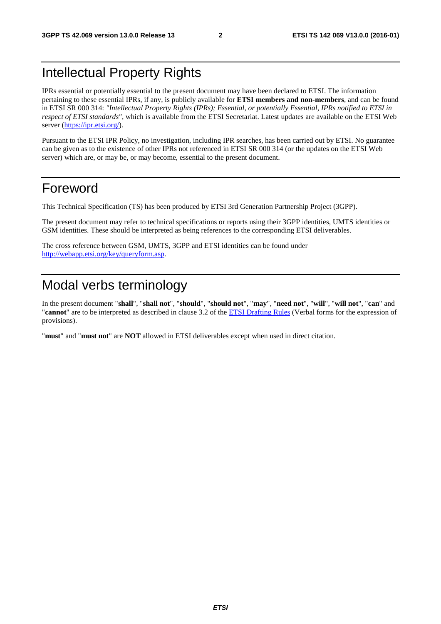#### Intellectual Property Rights

IPRs essential or potentially essential to the present document may have been declared to ETSI. The information pertaining to these essential IPRs, if any, is publicly available for **ETSI members and non-members**, and can be found in ETSI SR 000 314: *"Intellectual Property Rights (IPRs); Essential, or potentially Essential, IPRs notified to ETSI in respect of ETSI standards"*, which is available from the ETSI Secretariat. Latest updates are available on the ETSI Web server ([https://ipr.etsi.org/\)](https://ipr.etsi.org/).

Pursuant to the ETSI IPR Policy, no investigation, including IPR searches, has been carried out by ETSI. No guarantee can be given as to the existence of other IPRs not referenced in ETSI SR 000 314 (or the updates on the ETSI Web server) which are, or may be, or may become, essential to the present document.

#### Foreword

This Technical Specification (TS) has been produced by ETSI 3rd Generation Partnership Project (3GPP).

The present document may refer to technical specifications or reports using their 3GPP identities, UMTS identities or GSM identities. These should be interpreted as being references to the corresponding ETSI deliverables.

The cross reference between GSM, UMTS, 3GPP and ETSI identities can be found under [http://webapp.etsi.org/key/queryform.asp.](http://webapp.etsi.org/key/queryform.asp)

#### Modal verbs terminology

In the present document "**shall**", "**shall not**", "**should**", "**should not**", "**may**", "**need not**", "**will**", "**will not**", "**can**" and "**cannot**" are to be interpreted as described in clause 3.2 of the [ETSI Drafting Rules](http://portal.etsi.org/Help/editHelp!/Howtostart/ETSIDraftingRules.aspx) (Verbal forms for the expression of provisions).

"**must**" and "**must not**" are **NOT** allowed in ETSI deliverables except when used in direct citation.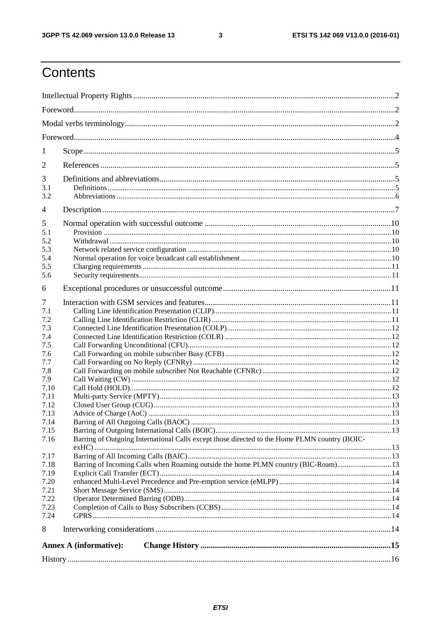$\mathbf{3}$ 

# Contents

| 1            |                                                                                               |  |  |  |  |  |  |
|--------------|-----------------------------------------------------------------------------------------------|--|--|--|--|--|--|
| 2            |                                                                                               |  |  |  |  |  |  |
| 3            |                                                                                               |  |  |  |  |  |  |
| 3.1          |                                                                                               |  |  |  |  |  |  |
| 3.2          |                                                                                               |  |  |  |  |  |  |
| 4            |                                                                                               |  |  |  |  |  |  |
| 5            |                                                                                               |  |  |  |  |  |  |
| 5.1          |                                                                                               |  |  |  |  |  |  |
| 5.2          |                                                                                               |  |  |  |  |  |  |
| 5.3          |                                                                                               |  |  |  |  |  |  |
| 5.4          |                                                                                               |  |  |  |  |  |  |
| 5.5          |                                                                                               |  |  |  |  |  |  |
| 5.6          |                                                                                               |  |  |  |  |  |  |
| 6            |                                                                                               |  |  |  |  |  |  |
| 7            |                                                                                               |  |  |  |  |  |  |
| 7.1          |                                                                                               |  |  |  |  |  |  |
| 7.2          |                                                                                               |  |  |  |  |  |  |
| 7.3          |                                                                                               |  |  |  |  |  |  |
| 7.4          |                                                                                               |  |  |  |  |  |  |
| 7.5          |                                                                                               |  |  |  |  |  |  |
| 7.6          |                                                                                               |  |  |  |  |  |  |
| 7.7          |                                                                                               |  |  |  |  |  |  |
| 7.8          |                                                                                               |  |  |  |  |  |  |
| 7.9          |                                                                                               |  |  |  |  |  |  |
| 7.10         |                                                                                               |  |  |  |  |  |  |
| 7.11         |                                                                                               |  |  |  |  |  |  |
| 7.12         |                                                                                               |  |  |  |  |  |  |
| 7.13         |                                                                                               |  |  |  |  |  |  |
| 7.14<br>7.15 |                                                                                               |  |  |  |  |  |  |
| 7.16         | Barring of Outgoing International Calls except those directed to the Home PLMN country (BOIC- |  |  |  |  |  |  |
|              |                                                                                               |  |  |  |  |  |  |
| 7.17         |                                                                                               |  |  |  |  |  |  |
| 7.18         | Barring of Incoming Calls when Roaming outside the home PLMN country (BIC-Roam) 13            |  |  |  |  |  |  |
| 7.19         |                                                                                               |  |  |  |  |  |  |
| 7.20         |                                                                                               |  |  |  |  |  |  |
| 7.21         |                                                                                               |  |  |  |  |  |  |
| 7.22         |                                                                                               |  |  |  |  |  |  |
| 7.23         |                                                                                               |  |  |  |  |  |  |
| 7.24         |                                                                                               |  |  |  |  |  |  |
| 8            |                                                                                               |  |  |  |  |  |  |
|              | <b>Annex A (informative):</b>                                                                 |  |  |  |  |  |  |
|              |                                                                                               |  |  |  |  |  |  |
|              |                                                                                               |  |  |  |  |  |  |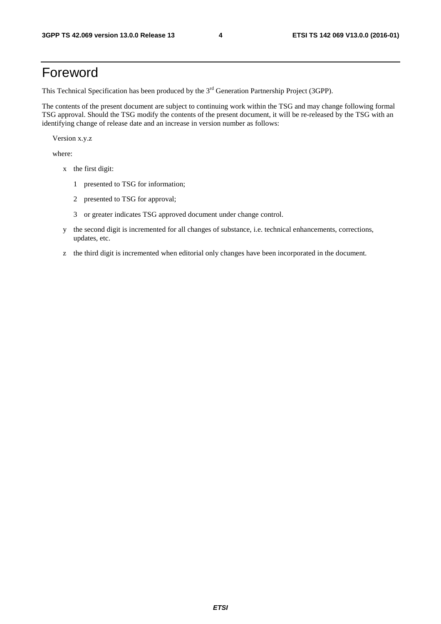#### Foreword

This Technical Specification has been produced by the 3<sup>rd</sup> Generation Partnership Project (3GPP).

The contents of the present document are subject to continuing work within the TSG and may change following formal TSG approval. Should the TSG modify the contents of the present document, it will be re-released by the TSG with an identifying change of release date and an increase in version number as follows:

Version x.y.z

where:

- x the first digit:
	- 1 presented to TSG for information;
	- 2 presented to TSG for approval;
	- 3 or greater indicates TSG approved document under change control.
- y the second digit is incremented for all changes of substance, i.e. technical enhancements, corrections, updates, etc.
- z the third digit is incremented when editorial only changes have been incorporated in the document.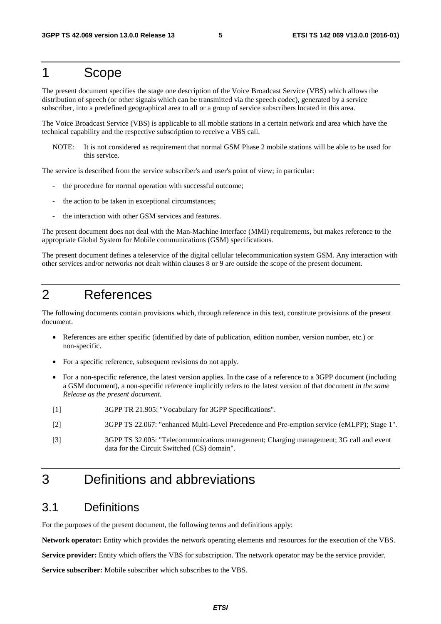#### 1 Scope

The present document specifies the stage one description of the Voice Broadcast Service (VBS) which allows the distribution of speech (or other signals which can be transmitted via the speech codec), generated by a service subscriber, into a predefined geographical area to all or a group of service subscribers located in this area.

The Voice Broadcast Service (VBS) is applicable to all mobile stations in a certain network and area which have the technical capability and the respective subscription to receive a VBS call.

NOTE: It is not considered as requirement that normal GSM Phase 2 mobile stations will be able to be used for this service.

The service is described from the service subscriber's and user's point of view; in particular:

- the procedure for normal operation with successful outcome;
- the action to be taken in exceptional circumstances;
- the interaction with other GSM services and features.

The present document does not deal with the Man-Machine Interface (MMI) requirements, but makes reference to the appropriate Global System for Mobile communications (GSM) specifications.

The present document defines a teleservice of the digital cellular telecommunication system GSM. Any interaction with other services and/or networks not dealt within clauses 8 or 9 are outside the scope of the present document.

#### 2 References

The following documents contain provisions which, through reference in this text, constitute provisions of the present document.

- References are either specific (identified by date of publication, edition number, version number, etc.) or non-specific.
- For a specific reference, subsequent revisions do not apply.
- For a non-specific reference, the latest version applies. In the case of a reference to a 3GPP document (including a GSM document), a non-specific reference implicitly refers to the latest version of that document *in the same Release as the present document*.
- [1] 3GPP TR 21.905: "Vocabulary for 3GPP Specifications".
- [2] 3GPP TS 22.067: "enhanced Multi-Level Precedence and Pre-emption service (eMLPP); Stage 1".
- [3] 3GPP TS 32.005: "Telecommunications management; Charging management; 3G call and event data for the Circuit Switched (CS) domain".

#### 3 Definitions and abbreviations

#### 3.1 Definitions

For the purposes of the present document, the following terms and definitions apply:

**Network operator:** Entity which provides the network operating elements and resources for the execution of the VBS.

**Service provider:** Entity which offers the VBS for subscription. The network operator may be the service provider.

**Service subscriber:** Mobile subscriber which subscribes to the VBS.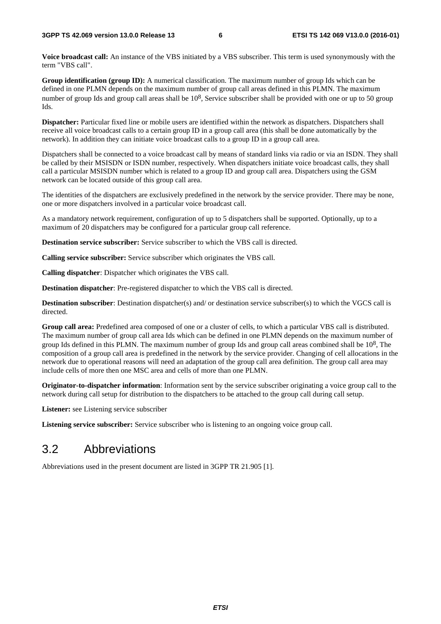**Voice broadcast call:** An instance of the VBS initiated by a VBS subscriber. This term is used synonymously with the term "VBS call".

**Group identification (group ID):** A numerical classification. The maximum number of group Ids which can be defined in one PLMN depends on the maximum number of group call areas defined in this PLMN. The maximum number of group Ids and group call areas shall be  $10^8$ , Service subscriber shall be provided with one or up to 50 group Ids.

**Dispatcher:** Particular fixed line or mobile users are identified within the network as dispatchers. Dispatchers shall receive all voice broadcast calls to a certain group ID in a group call area (this shall be done automatically by the network). In addition they can initiate voice broadcast calls to a group ID in a group call area.

Dispatchers shall be connected to a voice broadcast call by means of standard links via radio or via an ISDN. They shall be called by their MSISDN or ISDN number, respectively. When dispatchers initiate voice broadcast calls, they shall call a particular MSISDN number which is related to a group ID and group call area. Dispatchers using the GSM network can be located outside of this group call area.

The identities of the dispatchers are exclusively predefined in the network by the service provider. There may be none, one or more dispatchers involved in a particular voice broadcast call.

As a mandatory network requirement, configuration of up to 5 dispatchers shall be supported. Optionally, up to a maximum of 20 dispatchers may be configured for a particular group call reference.

**Destination service subscriber:** Service subscriber to which the VBS call is directed.

**Calling service subscriber:** Service subscriber which originates the VBS call.

**Calling dispatcher**: Dispatcher which originates the VBS call.

**Destination dispatcher**: Pre-registered dispatcher to which the VBS call is directed.

**Destination subscriber**: Destination dispatcher(s) and/ or destination service subscriber(s) to which the VGCS call is directed.

**Group call area:** Predefined area composed of one or a cluster of cells, to which a particular VBS call is distributed. The maximum number of group call area Ids which can be defined in one PLMN depends on the maximum number of group Ids defined in this PLMN. The maximum number of group Ids and group call areas combined shall be  $10^8$ , The composition of a group call area is predefined in the network by the service provider. Changing of cell allocations in the network due to operational reasons will need an adaptation of the group call area definition. The group call area may include cells of more then one MSC area and cells of more than one PLMN.

**Originator-to-dispatcher information**: Information sent by the service subscriber originating a voice group call to the network during call setup for distribution to the dispatchers to be attached to the group call during call setup.

**Listener:** see Listening service subscriber

**Listening service subscriber:** Service subscriber who is listening to an ongoing voice group call.

#### 3.2 Abbreviations

Abbreviations used in the present document are listed in 3GPP TR 21.905 [1].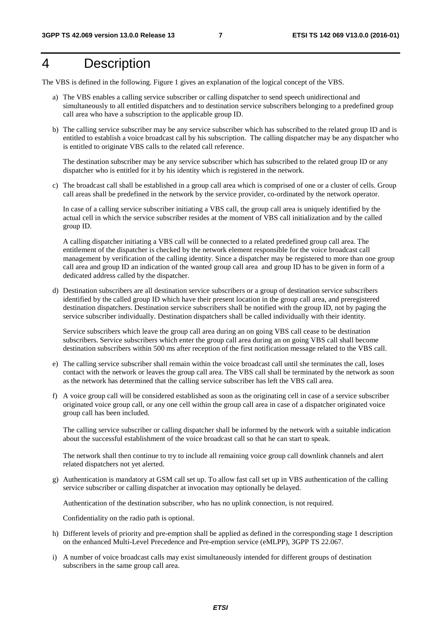### 4 Description

The VBS is defined in the following. Figure 1 gives an explanation of the logical concept of the VBS.

- a) The VBS enables a calling service subscriber or calling dispatcher to send speech unidirectional and simultaneously to all entitled dispatchers and to destination service subscribers belonging to a predefined group call area who have a subscription to the applicable group ID.
- b) The calling service subscriber may be any service subscriber which has subscribed to the related group ID and is entitled to establish a voice broadcast call by his subscription. The calling dispatcher may be any dispatcher who is entitled to originate VBS calls to the related call reference.

 The destination subscriber may be any service subscriber which has subscribed to the related group ID or any dispatcher who is entitled for it by his identity which is registered in the network.

c) The broadcast call shall be established in a group call area which is comprised of one or a cluster of cells. Group call areas shall be predefined in the network by the service provider, co-ordinated by the network operator.

 In case of a calling service subscriber initiating a VBS call, the group call area is uniquely identified by the actual cell in which the service subscriber resides at the moment of VBS call initialization and by the called group ID.

 A calling dispatcher initiating a VBS call will be connected to a related predefined group call area. The entitlement of the dispatcher is checked by the network element responsible for the voice broadcast call management by verification of the calling identity. Since a dispatcher may be registered to more than one group call area and group ID an indication of the wanted group call area and group ID has to be given in form of a dedicated address called by the dispatcher.

d) Destination subscribers are all destination service subscribers or a group of destination service subscribers identified by the called group ID which have their present location in the group call area, and preregistered destination dispatchers. Destination service subscribers shall be notified with the group ID, not by paging the service subscriber individually. Destination dispatchers shall be called individually with their identity.

 Service subscribers which leave the group call area during an on going VBS call cease to be destination subscribers. Service subscribers which enter the group call area during an on going VBS call shall become destination subscribers within 500 ms after reception of the first notification message related to the VBS call.

- e) The calling service subscriber shall remain within the voice broadcast call until she terminates the call, loses contact with the network or leaves the group call area. The VBS call shall be terminated by the network as soon as the network has determined that the calling service subscriber has left the VBS call area.
- f) A voice group call will be considered established as soon as the originating cell in case of a service subscriber originated voice group call, or any one cell within the group call area in case of a dispatcher originated voice group call has been included.

The calling service subscriber or calling dispatcher shall be informed by the network with a suitable indication about the successful establishment of the voice broadcast call so that he can start to speak.

The network shall then continue to try to include all remaining voice group call downlink channels and alert related dispatchers not yet alerted.

g) Authentication is mandatory at GSM call set up. To allow fast call set up in VBS authentication of the calling service subscriber or calling dispatcher at invocation may optionally be delayed.

Authentication of the destination subscriber, who has no uplink connection, is not required.

Confidentiality on the radio path is optional.

- h) Different levels of priority and pre-emption shall be applied as defined in the corresponding stage 1 description on the enhanced Multi-Level Precedence and Pre-emption service (eMLPP), 3GPP TS 22.067.
- i) A number of voice broadcast calls may exist simultaneously intended for different groups of destination subscribers in the same group call area.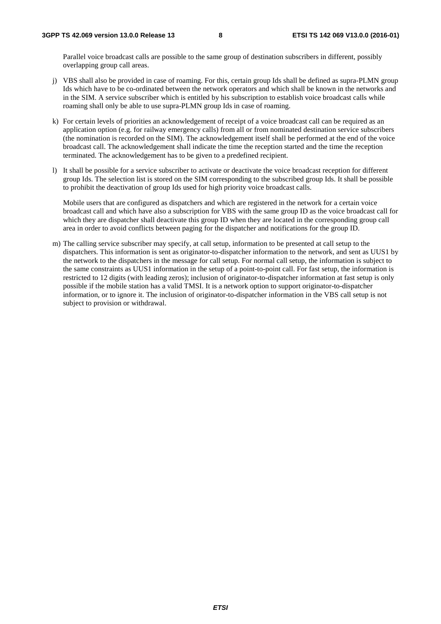Parallel voice broadcast calls are possible to the same group of destination subscribers in different, possibly overlapping group call areas.

- j) VBS shall also be provided in case of roaming. For this, certain group Ids shall be defined as supra-PLMN group Ids which have to be co-ordinated between the network operators and which shall be known in the networks and in the SIM. A service subscriber which is entitled by his subscription to establish voice broadcast calls while roaming shall only be able to use supra-PLMN group Ids in case of roaming.
- k) For certain levels of priorities an acknowledgement of receipt of a voice broadcast call can be required as an application option (e.g. for railway emergency calls) from all or from nominated destination service subscribers (the nomination is recorded on the SIM). The acknowledgement itself shall be performed at the end of the voice broadcast call. The acknowledgement shall indicate the time the reception started and the time the reception terminated. The acknowledgement has to be given to a predefined recipient.
- l) It shall be possible for a service subscriber to activate or deactivate the voice broadcast reception for different group Ids. The selection list is stored on the SIM corresponding to the subscribed group Ids. It shall be possible to prohibit the deactivation of group Ids used for high priority voice broadcast calls.

 Mobile users that are configured as dispatchers and which are registered in the network for a certain voice broadcast call and which have also a subscription for VBS with the same group ID as the voice broadcast call for which they are dispatcher shall deactivate this group ID when they are located in the corresponding group call area in order to avoid conflicts between paging for the dispatcher and notifications for the group ID.

m) The calling service subscriber may specify, at call setup, information to be presented at call setup to the dispatchers. This information is sent as originator-to-dispatcher information to the network, and sent as UUS1 by the network to the dispatchers in the message for call setup. For normal call setup, the information is subject to the same constraints as UUS1 information in the setup of a point-to-point call. For fast setup, the information is restricted to 12 digits (with leading zeros); inclusion of originator-to-dispatcher information at fast setup is only possible if the mobile station has a valid TMSI. It is a network option to support originator-to-dispatcher information, or to ignore it. The inclusion of originator-to-dispatcher information in the VBS call setup is not subject to provision or withdrawal.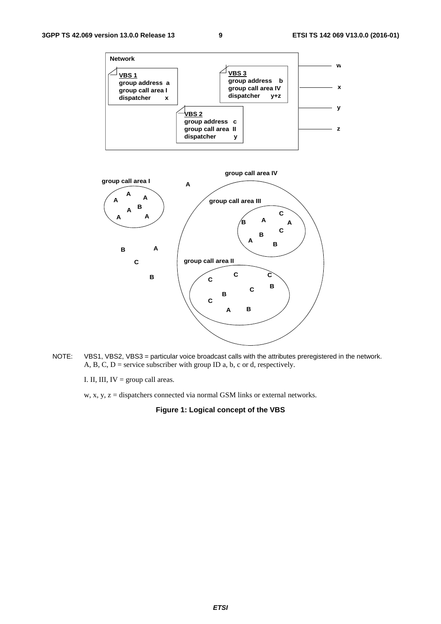

NOTE: VBS1, VBS2, VBS3 = particular voice broadcast calls with the attributes preregistered in the network. A, B, C,  $D$  = service subscriber with group ID a, b, c or d, respectively.

I. II, III,  $IV = group$  call areas.

w, x, y,  $z =$  dispatchers connected via normal GSM links or external networks.

**Figure 1: Logical concept of the VBS**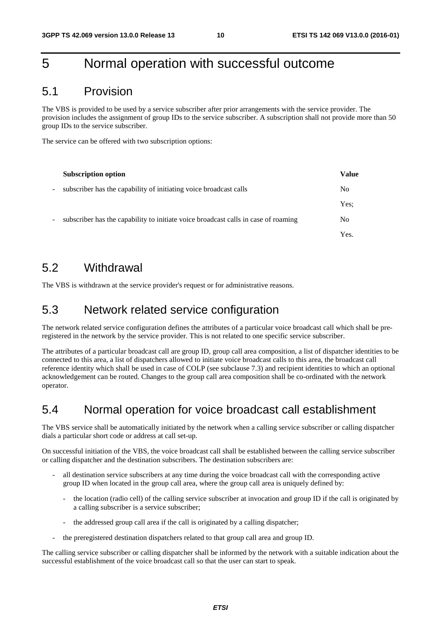#### 5 Normal operation with successful outcome

#### 5.1 Provision

The VBS is provided to be used by a service subscriber after prior arrangements with the service provider. The provision includes the assignment of group IDs to the service subscriber. A subscription shall not provide more than 50 group IDs to the service subscriber.

The service can be offered with two subscription options:

|                          | <b>Subscription option</b>                                                         | <b>Value</b>   |
|--------------------------|------------------------------------------------------------------------------------|----------------|
| $\overline{\phantom{a}}$ | subscriber has the capability of initiating voice broadcast calls                  | N <sub>0</sub> |
|                          |                                                                                    | Yes:           |
| $\overline{\phantom{a}}$ | subscriber has the capability to initiate voice broadcast calls in case of roaming | N <sub>0</sub> |
|                          |                                                                                    | Yes.           |

#### 5.2 Withdrawal

The VBS is withdrawn at the service provider's request or for administrative reasons.

#### 5.3 Network related service configuration

The network related service configuration defines the attributes of a particular voice broadcast call which shall be preregistered in the network by the service provider. This is not related to one specific service subscriber.

The attributes of a particular broadcast call are group ID, group call area composition, a list of dispatcher identities to be connected to this area, a list of dispatchers allowed to initiate voice broadcast calls to this area, the broadcast call reference identity which shall be used in case of COLP (see subclause 7.3) and recipient identities to which an optional acknowledgement can be routed. Changes to the group call area composition shall be co-ordinated with the network operator.

#### 5.4 Normal operation for voice broadcast call establishment

The VBS service shall be automatically initiated by the network when a calling service subscriber or calling dispatcher dials a particular short code or address at call set-up.

On successful initiation of the VBS, the voice broadcast call shall be established between the calling service subscriber or calling dispatcher and the destination subscribers. The destination subscribers are:

- all destination service subscribers at any time during the voice broadcast call with the corresponding active group ID when located in the group call area, where the group call area is uniquely defined by:
	- the location (radio cell) of the calling service subscriber at invocation and group ID if the call is originated by a calling subscriber is a service subscriber;
	- the addressed group call area if the call is originated by a calling dispatcher;
- the preregistered destination dispatchers related to that group call area and group ID.

The calling service subscriber or calling dispatcher shall be informed by the network with a suitable indication about the successful establishment of the voice broadcast call so that the user can start to speak.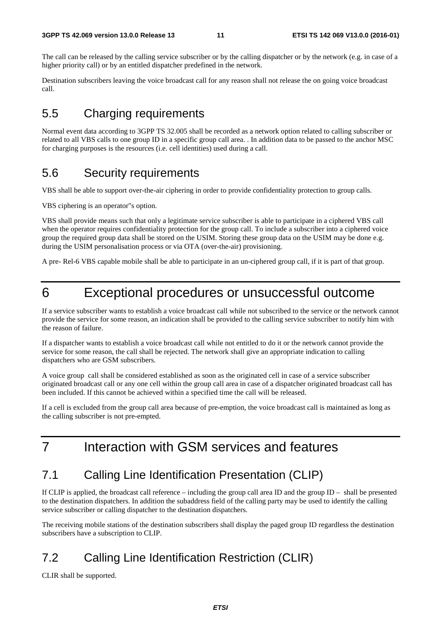The call can be released by the calling service subscriber or by the calling dispatcher or by the network (e.g. in case of a higher priority call) or by an entitled dispatcher predefined in the network.

Destination subscribers leaving the voice broadcast call for any reason shall not release the on going voice broadcast call.

#### 5.5 Charging requirements

Normal event data according to 3GPP TS 32.005 shall be recorded as a network option related to calling subscriber or related to all VBS calls to one group ID in a specific group call area. . In addition data to be passed to the anchor MSC for charging purposes is the resources (i.e. cell identities) used during a call.

#### 5.6 Security requirements

VBS shall be able to support over-the-air ciphering in order to provide confidentiality protection to group calls.

VBS ciphering is an operator"s option.

VBS shall provide means such that only a legitimate service subscriber is able to participate in a ciphered VBS call when the operator requires confidentiality protection for the group call. To include a subscriber into a ciphered voice group the required group data shall be stored on the USIM. Storing these group data on the USIM may be done e.g. during the USIM personalisation process or via OTA (over-the-air) provisioning.

A pre- Rel-6 VBS capable mobile shall be able to participate in an un-ciphered group call, if it is part of that group.

#### 6 Exceptional procedures or unsuccessful outcome

If a service subscriber wants to establish a voice broadcast call while not subscribed to the service or the network cannot provide the service for some reason, an indication shall be provided to the calling service subscriber to notify him with the reason of failure.

If a dispatcher wants to establish a voice broadcast call while not entitled to do it or the network cannot provide the service for some reason, the call shall be rejected. The network shall give an appropriate indication to calling dispatchers who are GSM subscribers.

A voice group call shall be considered established as soon as the originated cell in case of a service subscriber originated broadcast call or any one cell within the group call area in case of a dispatcher originated broadcast call has been included. If this cannot be achieved within a specified time the call will be released.

If a cell is excluded from the group call area because of pre-emption, the voice broadcast call is maintained as long as the calling subscriber is not pre-empted.

#### 7 Interaction with GSM services and features

#### 7.1 Calling Line Identification Presentation (CLIP)

If CLIP is applied, the broadcast call reference – including the group call area ID and the group  $ID -$  shall be presented to the destination dispatchers. In addition the subaddress field of the calling party may be used to identify the calling service subscriber or calling dispatcher to the destination dispatchers.

The receiving mobile stations of the destination subscribers shall display the paged group ID regardless the destination subscribers have a subscription to CLIP.

#### 7.2 Calling Line Identification Restriction (CLIR)

CLIR shall be supported.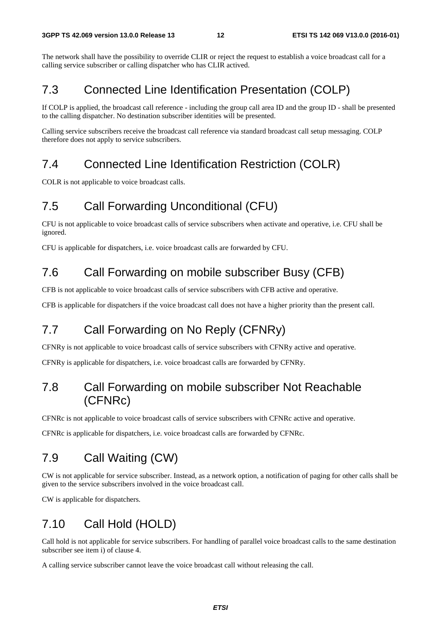The network shall have the possibility to override CLIR or reject the request to establish a voice broadcast call for a calling service subscriber or calling dispatcher who has CLIR actived.

#### 7.3 Connected Line Identification Presentation (COLP)

If COLP is applied, the broadcast call reference - including the group call area ID and the group ID - shall be presented to the calling dispatcher. No destination subscriber identities will be presented.

Calling service subscribers receive the broadcast call reference via standard broadcast call setup messaging. COLP therefore does not apply to service subscribers.

#### 7.4 Connected Line Identification Restriction (COLR)

COLR is not applicable to voice broadcast calls.

#### 7.5 Call Forwarding Unconditional (CFU)

CFU is not applicable to voice broadcast calls of service subscribers when activate and operative, i.e. CFU shall be ignored.

CFU is applicable for dispatchers, i.e. voice broadcast calls are forwarded by CFU.

#### 7.6 Call Forwarding on mobile subscriber Busy (CFB)

CFB is not applicable to voice broadcast calls of service subscribers with CFB active and operative.

CFB is applicable for dispatchers if the voice broadcast call does not have a higher priority than the present call.

#### 7.7 Call Forwarding on No Reply (CFNRy)

CFNRy is not applicable to voice broadcast calls of service subscribers with CFNRy active and operative.

CFNRy is applicable for dispatchers, i.e. voice broadcast calls are forwarded by CFNRy.

#### 7.8 Call Forwarding on mobile subscriber Not Reachable (CFNRc)

CFNRc is not applicable to voice broadcast calls of service subscribers with CFNRc active and operative.

CFNRc is applicable for dispatchers, i.e. voice broadcast calls are forwarded by CFNRc.

#### 7.9 Call Waiting (CW)

CW is not applicable for service subscriber. Instead, as a network option, a notification of paging for other calls shall be given to the service subscribers involved in the voice broadcast call.

CW is applicable for dispatchers.

#### 7.10 Call Hold (HOLD)

Call hold is not applicable for service subscribers. For handling of parallel voice broadcast calls to the same destination subscriber see item i) of clause 4.

A calling service subscriber cannot leave the voice broadcast call without releasing the call.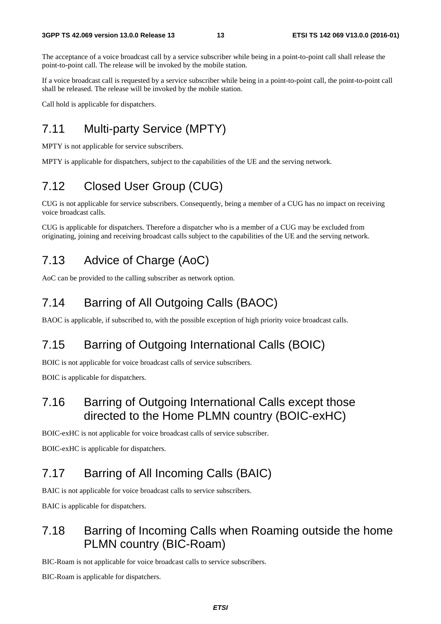The acceptance of a voice broadcast call by a service subscriber while being in a point-to-point call shall release the point-to-point call. The release will be invoked by the mobile station.

If a voice broadcast call is requested by a service subscriber while being in a point-to-point call, the point-to-point call shall be released. The release will be invoked by the mobile station.

Call hold is applicable for dispatchers.

#### 7.11 Multi-party Service (MPTY)

MPTY is not applicable for service subscribers.

MPTY is applicable for dispatchers, subject to the capabilities of the UE and the serving network.

#### 7.12 Closed User Group (CUG)

CUG is not applicable for service subscribers. Consequently, being a member of a CUG has no impact on receiving voice broadcast calls.

CUG is applicable for dispatchers. Therefore a dispatcher who is a member of a CUG may be excluded from originating, joining and receiving broadcast calls subject to the capabilities of the UE and the serving network.

#### 7.13 Advice of Charge (AoC)

AoC can be provided to the calling subscriber as network option.

#### 7.14 Barring of All Outgoing Calls (BAOC)

BAOC is applicable, if subscribed to, with the possible exception of high priority voice broadcast calls.

#### 7.15 Barring of Outgoing International Calls (BOIC)

BOIC is not applicable for voice broadcast calls of service subscribers.

BOIC is applicable for dispatchers.

#### 7.16 Barring of Outgoing International Calls except those directed to the Home PLMN country (BOIC-exHC)

BOIC-exHC is not applicable for voice broadcast calls of service subscriber.

BOIC-exHC is applicable for dispatchers.

#### 7.17 Barring of All Incoming Calls (BAIC)

BAIC is not applicable for voice broadcast calls to service subscribers.

BAIC is applicable for dispatchers.

#### 7.18 Barring of Incoming Calls when Roaming outside the home PLMN country (BIC-Roam)

BIC-Roam is not applicable for voice broadcast calls to service subscribers.

BIC-Roam is applicable for dispatchers.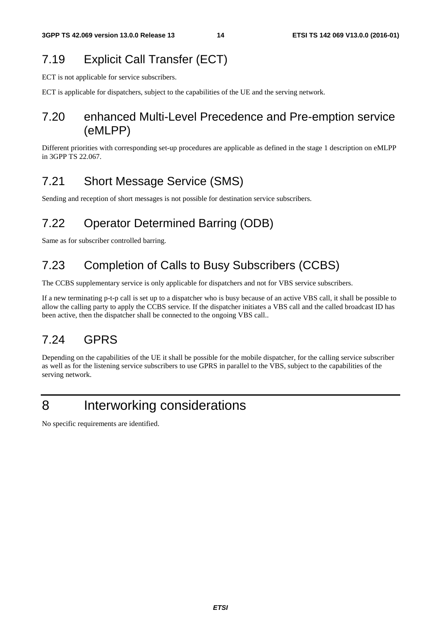#### 7.19 Explicit Call Transfer (ECT)

ECT is not applicable for service subscribers.

ECT is applicable for dispatchers, subject to the capabilities of the UE and the serving network.

#### 7.20 enhanced Multi-Level Precedence and Pre-emption service (eMLPP)

Different priorities with corresponding set-up procedures are applicable as defined in the stage 1 description on eMLPP in 3GPP TS 22.067.

#### 7.21 Short Message Service (SMS)

Sending and reception of short messages is not possible for destination service subscribers.

#### 7.22 Operator Determined Barring (ODB)

Same as for subscriber controlled barring.

#### 7.23 Completion of Calls to Busy Subscribers (CCBS)

The CCBS supplementary service is only applicable for dispatchers and not for VBS service subscribers.

If a new terminating p-t-p call is set up to a dispatcher who is busy because of an active VBS call, it shall be possible to allow the calling party to apply the CCBS service. If the dispatcher initiates a VBS call and the called broadcast ID has been active, then the dispatcher shall be connected to the ongoing VBS call..

#### 7.24 GPRS

Depending on the capabilities of the UE it shall be possible for the mobile dispatcher, for the calling service subscriber as well as for the listening service subscribers to use GPRS in parallel to the VBS, subject to the capabilities of the serving network.

## 8 Interworking considerations

No specific requirements are identified.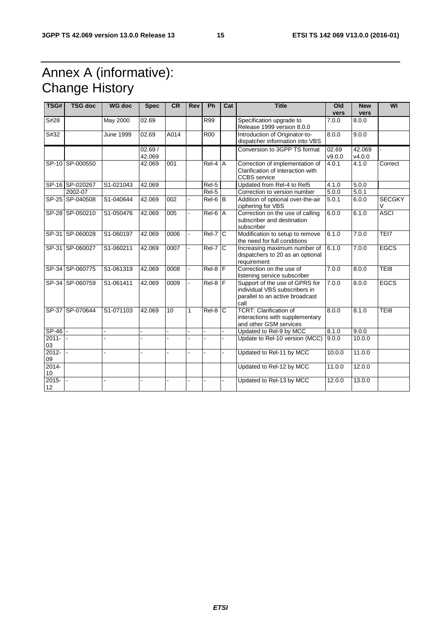# Annex A (informative): Change History

| TSG#           | <b>TSG doc</b>  | <b>WG doc</b> | <b>Spec</b>      | <b>CR</b> | <b>Rev</b>     | Ph               | Cat            | <b>Title</b>                                                                                               | Old<br>vers     | <b>New</b><br>vers | WI                 |
|----------------|-----------------|---------------|------------------|-----------|----------------|------------------|----------------|------------------------------------------------------------------------------------------------------------|-----------------|--------------------|--------------------|
| S#28           |                 | May 2000      | 02.69            |           |                | R99              |                | Specification upgrade to<br>Release 1999 version 8.0.0                                                     | 7.0.0           | 8.0.0              |                    |
| S#32           |                 | June 1999     | 02.69            | A014      |                | $\overline{ROO}$ |                | Introduction of Originator-to-<br>dispatcher information into VBS                                          | 8.0.0           | 9.0.0              |                    |
|                |                 |               | 02.69/<br>42.069 |           |                |                  |                | Conversion to 3GPP TS format                                                                               | 02.69<br>v9.0.0 | 42.069<br>v4.0.0   |                    |
|                | SP-10 SP-000550 |               | 42.069           | 001       |                | Rel-4 A          |                | Correction of implementation of<br>Clarification of interaction with<br><b>CCBS</b> service                | 4.0.1           | 4.1.0              | Correct            |
|                | SP-16 SP-020267 | S1-021043     | 42.069           |           |                | Rel-5            |                | Updated from Rel-4 to Rel5                                                                                 | 4.1.0           | 5.0.0              |                    |
|                | 2002-07         |               |                  |           |                | $Rel-5$          |                | Correction to version number                                                                               | 5.0.0           | 5.0.1              |                    |
|                | SP-25 SP-040508 | S1-040644     | 42.069           | 002       |                | $Rel-6$ $B$      |                | Addition of optional over-the-air<br>ciphering for VBS                                                     | 5.0.1           | 6.0.0              | <b>SECGKY</b><br>V |
|                | SP-28 SP-050210 | S1-050476     | 42.069           | 005       | $\blacksquare$ | Rel-6            | $\overline{A}$ | Correction on the use of calling<br>subscriber and destination<br>subscriber                               | 6.0.0           | 6.1.0              | <b>ASCI</b>        |
|                | SP-31 SP-060028 | S1-060197     | 42.069           | 0006      |                | $ReI-7$ C        |                | Modification to setup to remove<br>the need for full conditions                                            | 6.1.0           | 7.0.0              | TEI7               |
|                | SP-31 SP-060027 | S1-060211     | 42.069           | 0007      | $\overline{a}$ | $Rel-7$ C        |                | Increasing maximum number of<br>dispatchers to 20 as an optional<br>requirement                            | 6.1.0           | 7.0.0              | <b>EGCS</b>        |
|                | SP-34 SP-060775 | S1-061319     | 42.069           | 0008      | $\blacksquare$ | $ReI-8$ $F$      |                | Correction on the use of<br>listening service subscriber                                                   | 7.0.0           | 8.0.0              | TEI8               |
|                | SP-34 SP-060759 | S1-061411     | 42.069           | 0009      |                | $Rel-8$ $F$      |                | Support of the use of GPRS for<br>individual VBS subscribers in<br>parallel to an active broadcast<br>call | 7.0.0           | 8.0.0              | <b>EGCS</b>        |
|                | SP-37 SP-070644 | S1-071103     | 42.069           | 10        | 1              | $Rel-8$          | C)             | <b>TCRT: Clarification of</b><br>interactions with supplementary<br>and other GSM services                 | 8.0.0           | 8.1.0              | TEI8               |
| SP-46          |                 |               |                  |           |                |                  |                | Updated to Rel-9 by MCC                                                                                    | 8.1.0           | 9.0.0              |                    |
| $2011 -$<br>03 | $\blacksquare$  |               |                  |           |                |                  |                | Update to Rel-10 version (MCC)                                                                             | 9.0.0           | 10.0.0             |                    |
| 2012-<br>09    |                 |               |                  |           |                |                  |                | Updated to Rel-11 by MCC                                                                                   | 10.0.0          | 11.00              |                    |
| $2014 -$<br>10 |                 |               |                  |           |                |                  |                | Updated to Rel-12 by MCC                                                                                   | 11.0.0          | 12.0.0             |                    |
| $2015 -$<br>12 |                 |               | ä,               |           |                |                  |                | Updated to Rel-13 by MCC                                                                                   | 12.0.0          | 13.0.0             |                    |